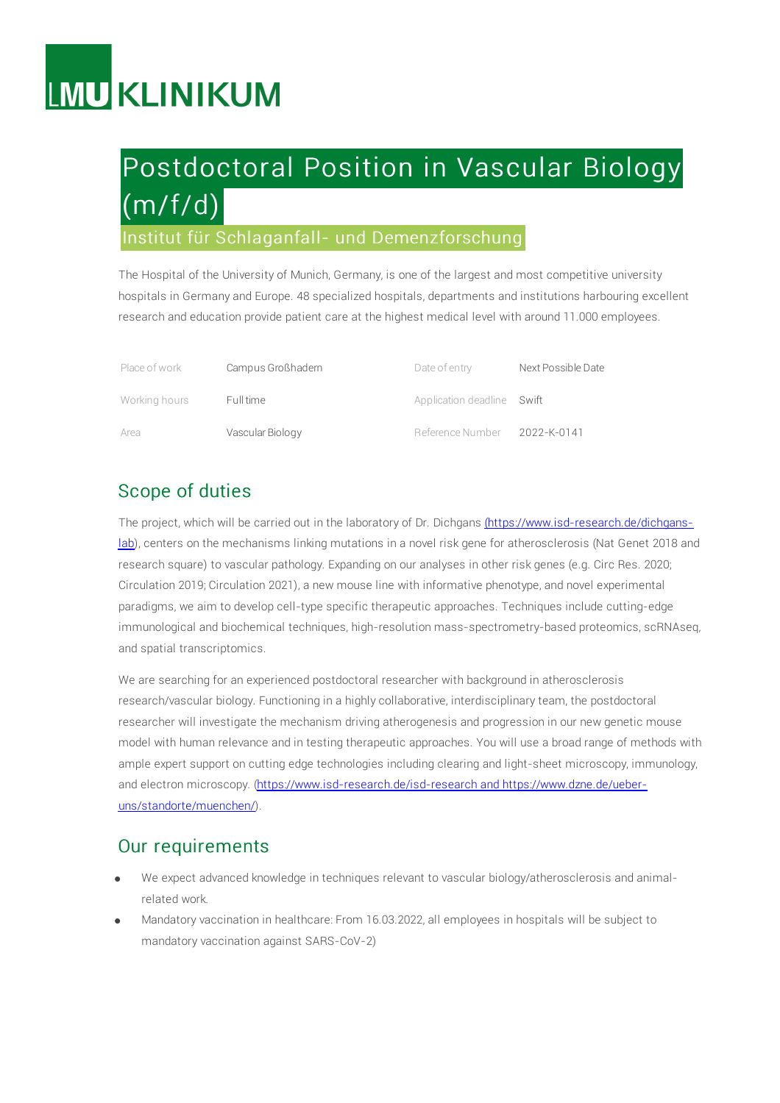# **LMU KLINIKUM**

# Postdoctoral Position in Vascular Biology  $(m/f/d)$

### Institut für Schlaganfall- und Demenzforschung

The Hospital of the University of Munich, Germany, is one of the largest and most competitive university hospitals in Germany and Europe. 48 specialized hospitals, departments and institutions harbouring excellent research and education provide patient care at the highest medical level with around 11.000 employees.

| Place of work | Campus Großhadern | Date of entry              | Next Possible Date |
|---------------|-------------------|----------------------------|--------------------|
| Working hours | Full time         | Application deadline Swift |                    |
| Area          | Vascular Biology  | Reference Number           | 2022-K-0141        |

## Scope of duties

The project, which will be carried out in the laboratory of Dr. Dichgans [\(https://www.isd-research.de/dichgans](file:////tmp/(https://www.isd-research.de/dichgans-lab)lab), centers on the mechanisms linking mutations in a novel risk gene for atherosclerosis (Nat Genet 2018 and research square) to vascular pathology. Expanding on our analyses in other risk genes (e.g. Circ Res. 2020; Circulation 2019; Circulation 2021), a new mouse line with informative phenotype, and novel experimental paradigms, we aim to develop cell-type specific therapeutic approaches. Techniques include cutting-edge immunological and biochemical techniques, high-resolution mass-spectrometry-based proteomics, scRNAseq, and spatial transcriptomics.

We are searching for an experienced postdoctoral researcher with background in atherosclerosis research/vascular biology. Functioning in a highly collaborative, interdisciplinary team, the postdoctoral researcher will investigate the mechanism driving atherogenesis and progression in our new genetic mouse model with human relevance and in testing therapeutic approaches. You will use a broad range of methods with ample expert support on cutting edge technologies including clearing and light-sheet microscopy, immunology, and electron microscopy. [\(https://www.isd-research.de/isd-research](https://www.isd-research.de/isd-research%20and%20https://www.dzne.de/ueber-uns/standorte/muenchen/) and https://www.dzne.de/ueberuns/standorte/muenchen/).

#### Our requirements

- We expect advanced knowledge in techniques relevant to vascular biology/atherosclerosis and animalrelated work.
- Mandatory vaccination in healthcare: From 16.03.2022, all employees in hospitals will be subject to mandatory vaccination against SARS-CoV-2)